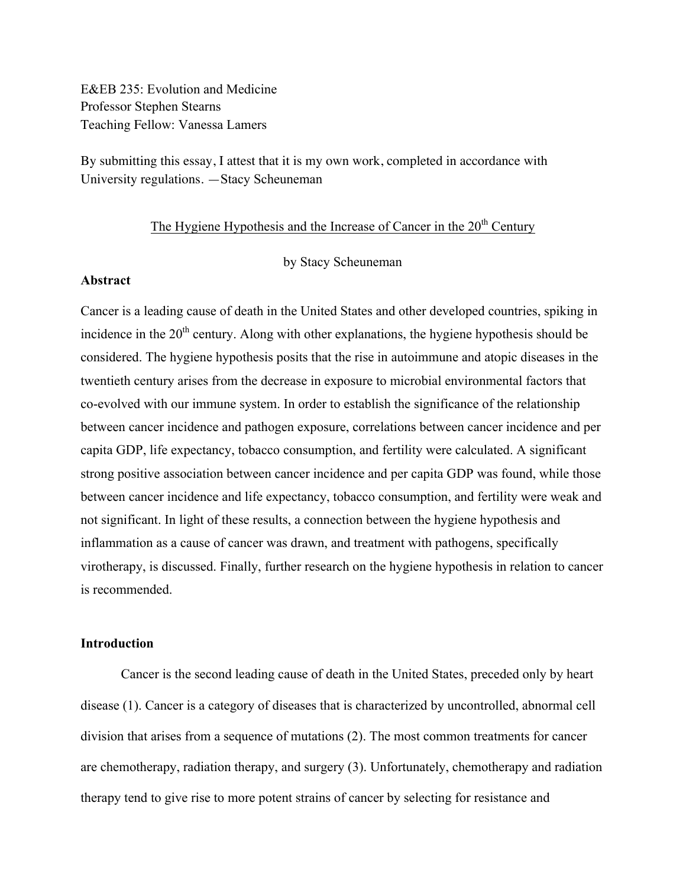E&EB 235: Evolution and Medicine Professor Stephen Stearns Teaching Fellow: Vanessa Lamers

By submitting this essay, I attest that it is my own work, completed in accordance with University regulations. —Stacy Scheuneman

# The Hygiene Hypothesis and the Increase of Cancer in the 20<sup>th</sup> Century

by Stacy Scheuneman

## **Abstract**

Cancer is a leading cause of death in the United States and other developed countries, spiking in incidence in the  $20<sup>th</sup>$  century. Along with other explanations, the hygiene hypothesis should be considered. The hygiene hypothesis posits that the rise in autoimmune and atopic diseases in the twentieth century arises from the decrease in exposure to microbial environmental factors that co-evolved with our immune system. In order to establish the significance of the relationship between cancer incidence and pathogen exposure, correlations between cancer incidence and per capita GDP, life expectancy, tobacco consumption, and fertility were calculated. A significant strong positive association between cancer incidence and per capita GDP was found, while those between cancer incidence and life expectancy, tobacco consumption, and fertility were weak and not significant. In light of these results, a connection between the hygiene hypothesis and inflammation as a cause of cancer was drawn, and treatment with pathogens, specifically virotherapy, is discussed. Finally, further research on the hygiene hypothesis in relation to cancer is recommended.

# **Introduction**

Cancer is the second leading cause of death in the United States, preceded only by heart disease (1). Cancer is a category of diseases that is characterized by uncontrolled, abnormal cell division that arises from a sequence of mutations (2). The most common treatments for cancer are chemotherapy, radiation therapy, and surgery (3). Unfortunately, chemotherapy and radiation therapy tend to give rise to more potent strains of cancer by selecting for resistance and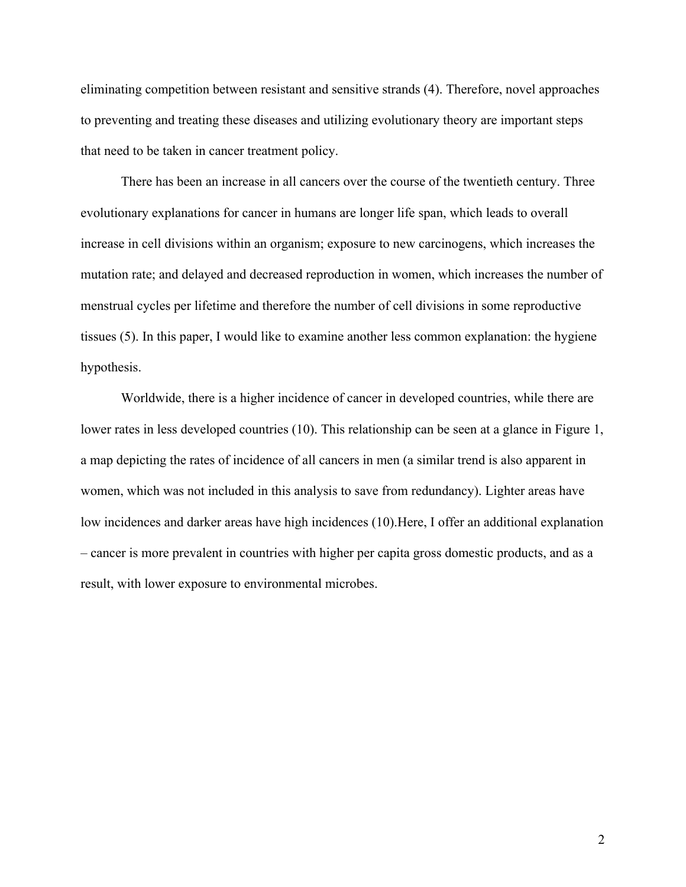eliminating competition between resistant and sensitive strands (4). Therefore, novel approaches to preventing and treating these diseases and utilizing evolutionary theory are important steps that need to be taken in cancer treatment policy.

There has been an increase in all cancers over the course of the twentieth century. Three evolutionary explanations for cancer in humans are longer life span, which leads to overall increase in cell divisions within an organism; exposure to new carcinogens, which increases the mutation rate; and delayed and decreased reproduction in women, which increases the number of menstrual cycles per lifetime and therefore the number of cell divisions in some reproductive tissues (5). In this paper, I would like to examine another less common explanation: the hygiene hypothesis.

Worldwide, there is a higher incidence of cancer in developed countries, while there are lower rates in less developed countries (10). This relationship can be seen at a glance in Figure 1, a map depicting the rates of incidence of all cancers in men (a similar trend is also apparent in women, which was not included in this analysis to save from redundancy). Lighter areas have low incidences and darker areas have high incidences (10).Here, I offer an additional explanation – cancer is more prevalent in countries with higher per capita gross domestic products, and as a result, with lower exposure to environmental microbes.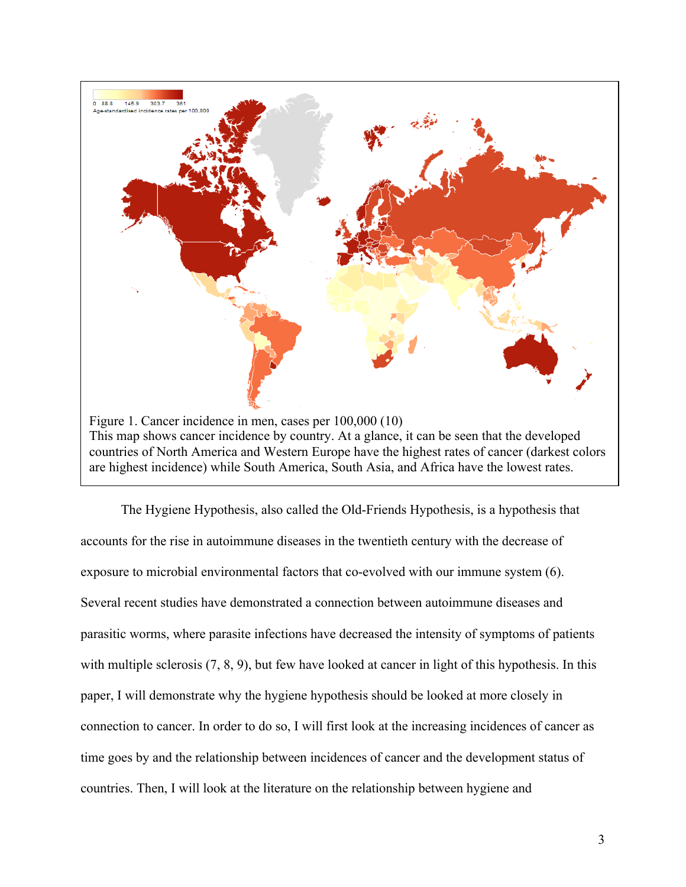

The Hygiene Hypothesis, also called the Old-Friends Hypothesis, is a hypothesis that accounts for the rise in autoimmune diseases in the twentieth century with the decrease of exposure to microbial environmental factors that co-evolved with our immune system (6). Several recent studies have demonstrated a connection between autoimmune diseases and parasitic worms, where parasite infections have decreased the intensity of symptoms of patients with multiple sclerosis  $(7, 8, 9)$ , but few have looked at cancer in light of this hypothesis. In this paper, I will demonstrate why the hygiene hypothesis should be looked at more closely in connection to cancer. In order to do so, I will first look at the increasing incidences of cancer as time goes by and the relationship between incidences of cancer and the development status of countries. Then, I will look at the literature on the relationship between hygiene and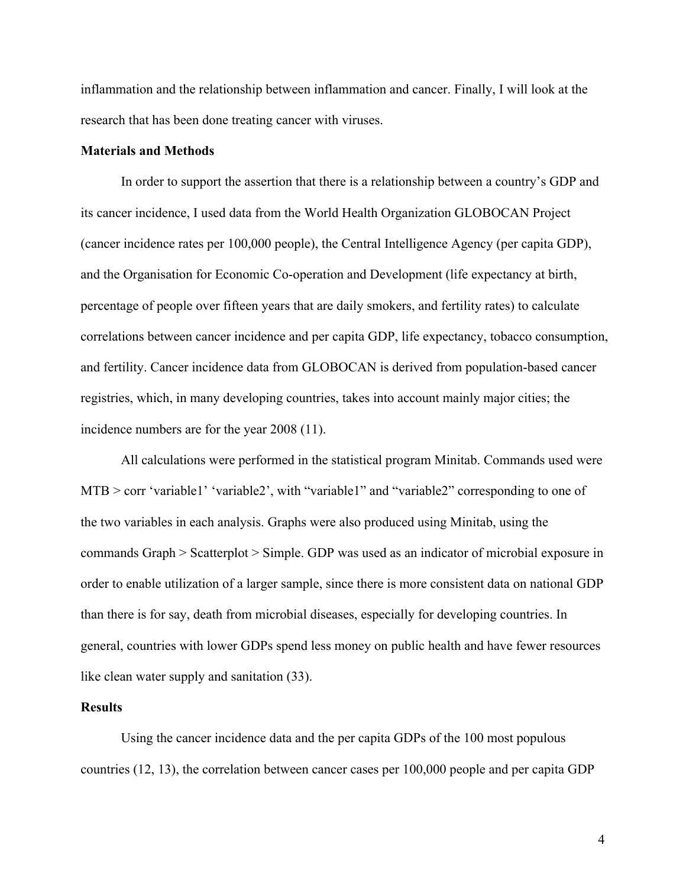inflammation and the relationship between inflammation and cancer. Finally, I will look at the research that has been done treating cancer with viruses.

#### **Materials and Methods**

In order to support the assertion that there is a relationship between a country's GDP and its cancer incidence, I used data from the World Health Organization GLOBOCAN Project (cancer incidence rates per 100,000 people), the Central Intelligence Agency (per capita GDP), and the Organisation for Economic Co-operation and Development (life expectancy at birth, percentage of people over fifteen years that are daily smokers, and fertility rates) to calculate correlations between cancer incidence and per capita GDP, life expectancy, tobacco consumption, and fertility. Cancer incidence data from GLOBOCAN is derived from population-based cancer registries, which, in many developing countries, takes into account mainly major cities; the incidence numbers are for the year 2008 (11).

All calculations were performed in the statistical program Minitab. Commands used were MTB > corr 'variable1' 'variable2', with "variable1" and "variable2" corresponding to one of the two variables in each analysis. Graphs were also produced using Minitab, using the commands Graph > Scatterplot > Simple. GDP was used as an indicator of microbial exposure in order to enable utilization of a larger sample, since there is more consistent data on national GDP than there is for say, death from microbial diseases, especially for developing countries. In general, countries with lower GDPs spend less money on public health and have fewer resources like clean water supply and sanitation (33).

### **Results**

Using the cancer incidence data and the per capita GDPs of the 100 most populous countries (12, 13), the correlation between cancer cases per 100,000 people and per capita GDP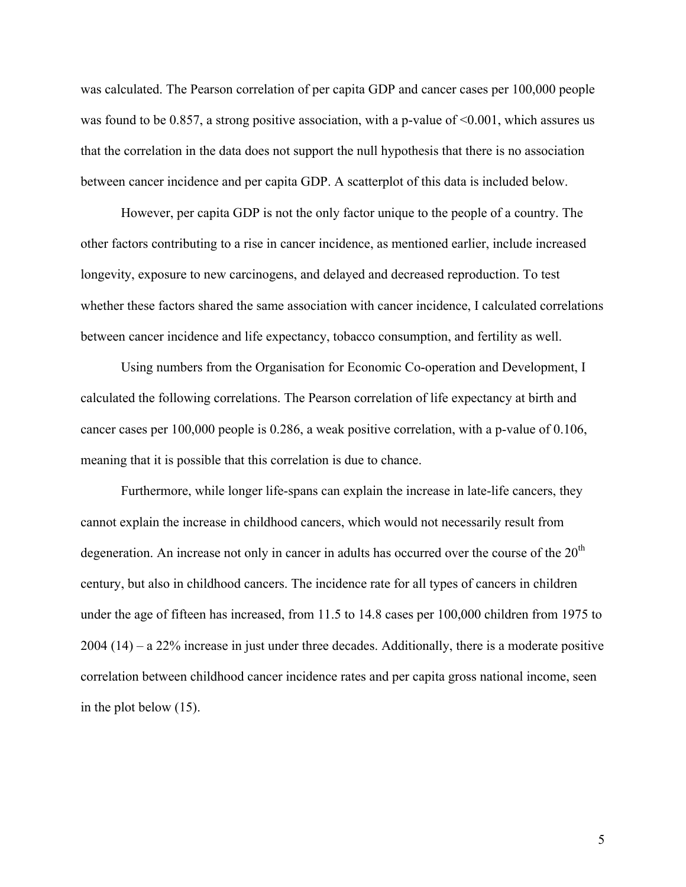was calculated. The Pearson correlation of per capita GDP and cancer cases per 100,000 people was found to be 0.857, a strong positive association, with a p-value of  $\leq 0.001$ , which assures us that the correlation in the data does not support the null hypothesis that there is no association between cancer incidence and per capita GDP. A scatterplot of this data is included below.

However, per capita GDP is not the only factor unique to the people of a country. The other factors contributing to a rise in cancer incidence, as mentioned earlier, include increased longevity, exposure to new carcinogens, and delayed and decreased reproduction. To test whether these factors shared the same association with cancer incidence, I calculated correlations between cancer incidence and life expectancy, tobacco consumption, and fertility as well.

Using numbers from the Organisation for Economic Co-operation and Development, I calculated the following correlations. The Pearson correlation of life expectancy at birth and cancer cases per 100,000 people is 0.286, a weak positive correlation, with a p-value of 0.106, meaning that it is possible that this correlation is due to chance.

Furthermore, while longer life-spans can explain the increase in late-life cancers, they cannot explain the increase in childhood cancers, which would not necessarily result from degeneration. An increase not only in cancer in adults has occurred over the course of the  $20<sup>th</sup>$ century, but also in childhood cancers. The incidence rate for all types of cancers in children under the age of fifteen has increased, from 11.5 to 14.8 cases per 100,000 children from 1975 to 2004 (14) – a 22% increase in just under three decades. Additionally, there is a moderate positive correlation between childhood cancer incidence rates and per capita gross national income, seen in the plot below (15).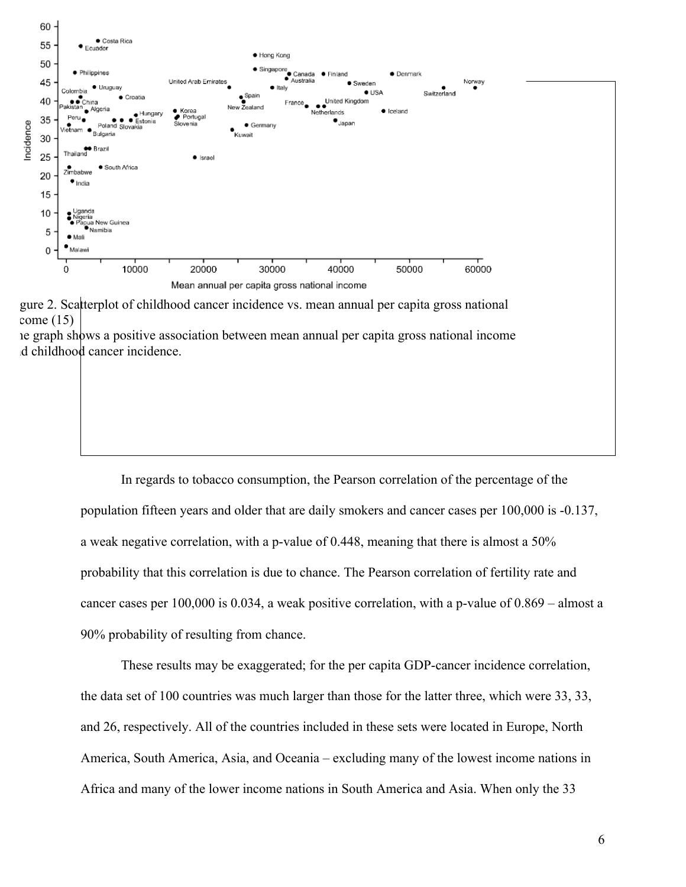

Figure 2. Scatterplot of childhood cancer incidence vs. mean annual per capita gross national come  $(15)$ 

The graph shows a positive association between mean annual per capita gross national income d childhood cancer incidence.

> In regards to tobacco consumption, the Pearson correlation of the percentage of the population fifteen years and older that are daily smokers and cancer cases per 100,000 is -0.137, a weak negative correlation, with a p-value of 0.448, meaning that there is almost a 50% probability that this correlation is due to chance. The Pearson correlation of fertility rate and cancer cases per 100,000 is 0.034, a weak positive correlation, with a p-value of 0.869 – almost a 90% probability of resulting from chance.

These results may be exaggerated; for the per capita GDP-cancer incidence correlation, the data set of 100 countries was much larger than those for the latter three, which were 33, 33, and 26, respectively. All of the countries included in these sets were located in Europe, North America, South America, Asia, and Oceania – excluding many of the lowest income nations in Africa and many of the lower income nations in South America and Asia. When only the 33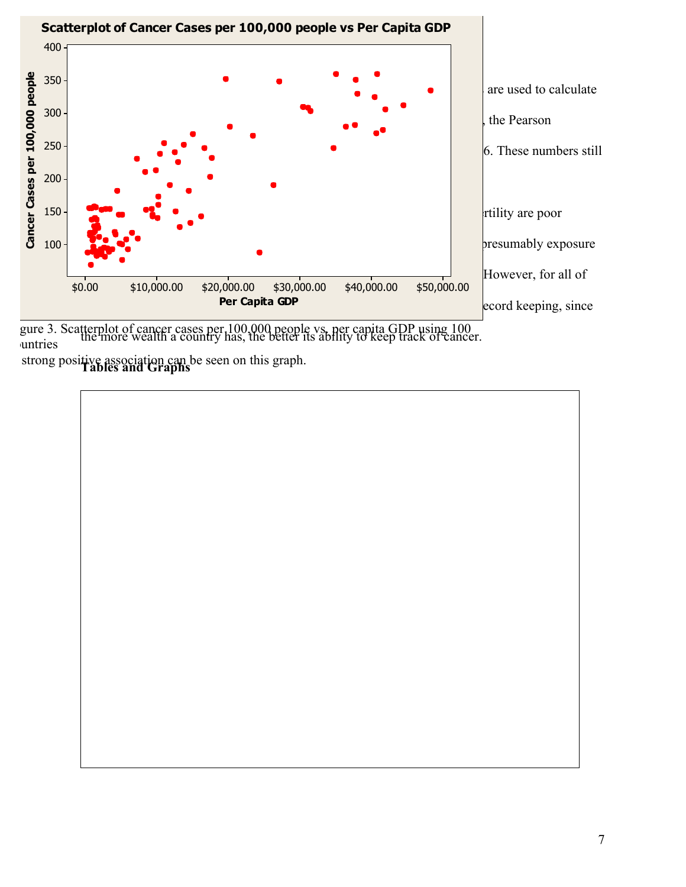

gure 3. Scatterplot of cancer cases per 100,000 people vs. per capita GDP using 100<br>the more wealth a country has, the better its ability to keep track of cancer. strong positive association can be seen on this graph.<br>**Tables and Graphs** untries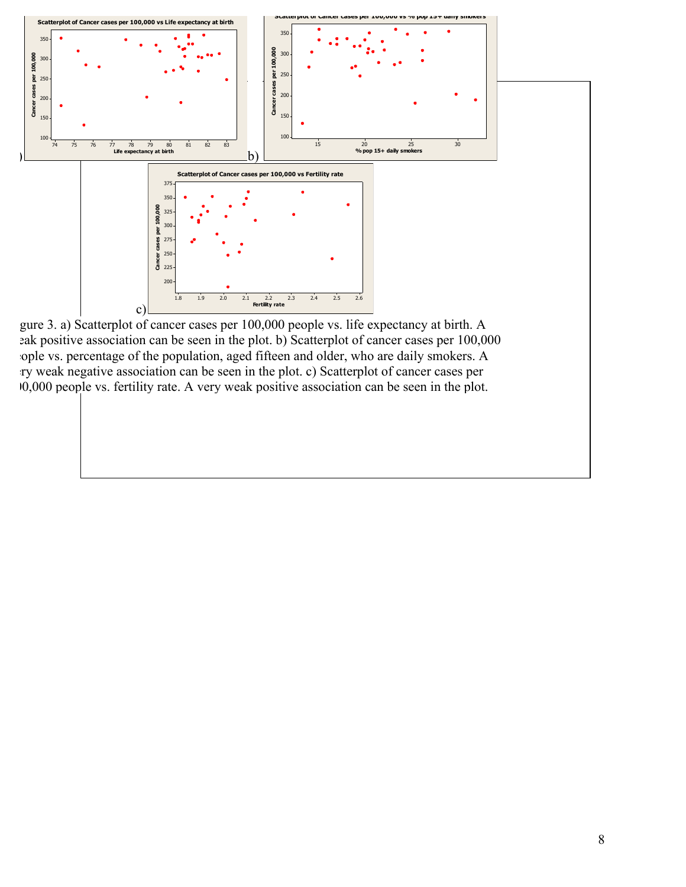

gure 3. a) Scatterplot of cancer cases per 100,000 people vs. life expectancy at birth. A eak positive association can be seen in the plot. b) Scatterplot of cancer cases per 100,000 ople vs. percentage of the population, aged fifteen and older, who are daily smokers. A very weak negative association can be seen in the plot. c) Scatterplot of cancer cases per 10,000 people vs. fertility rate. A very weak positive association can be seen in the plot.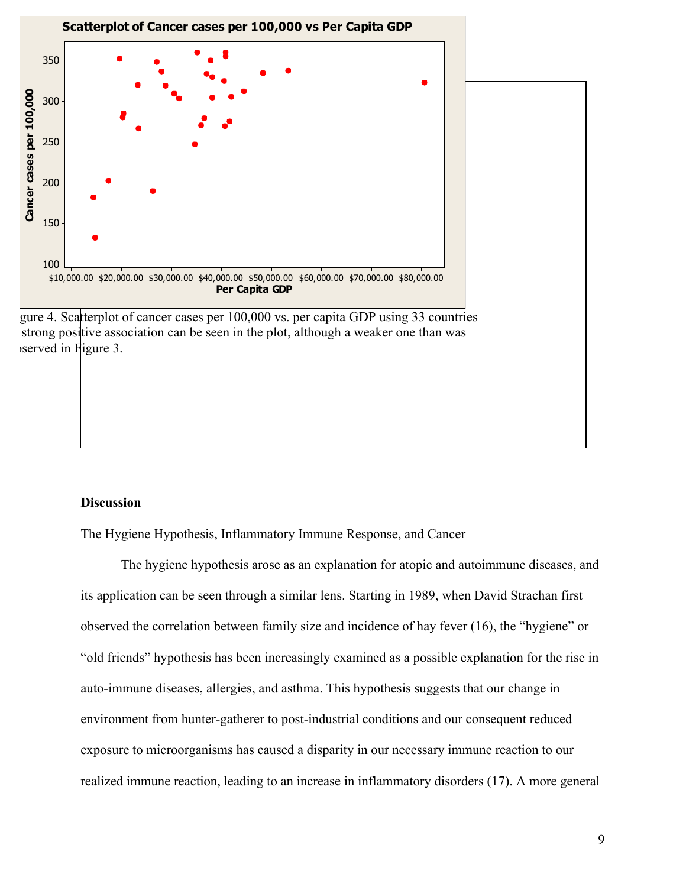

Figure 4. Scatterplot of cancer cases per 100,000 vs. per capita GDP using 33 countries strong positive association can be seen in the plot, although a weaker one than was observed in Figure 3.

## **Discussion**

# The Hygiene Hypothesis, Inflammatory Immune Response, and Cancer

The hygiene hypothesis arose as an explanation for atopic and autoimmune diseases, and its application can be seen through a similar lens. Starting in 1989, when David Strachan first observed the correlation between family size and incidence of hay fever (16), the "hygiene" or "old friends" hypothesis has been increasingly examined as a possible explanation for the rise in auto-immune diseases, allergies, and asthma. This hypothesis suggests that our change in environment from hunter-gatherer to post-industrial conditions and our consequent reduced exposure to microorganisms has caused a disparity in our necessary immune reaction to our realized immune reaction, leading to an increase in inflammatory disorders (17). A more general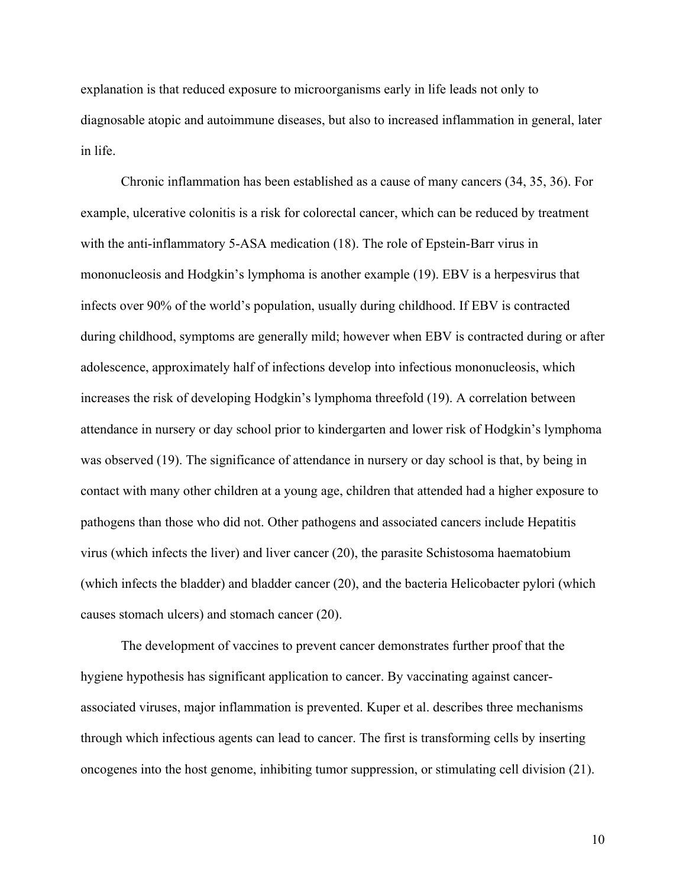explanation is that reduced exposure to microorganisms early in life leads not only to diagnosable atopic and autoimmune diseases, but also to increased inflammation in general, later in life.

Chronic inflammation has been established as a cause of many cancers (34, 35, 36). For example, ulcerative colonitis is a risk for colorectal cancer, which can be reduced by treatment with the anti-inflammatory 5-ASA medication (18). The role of Epstein-Barr virus in mononucleosis and Hodgkin's lymphoma is another example (19). EBV is a herpesvirus that infects over 90% of the world's population, usually during childhood. If EBV is contracted during childhood, symptoms are generally mild; however when EBV is contracted during or after adolescence, approximately half of infections develop into infectious mononucleosis, which increases the risk of developing Hodgkin's lymphoma threefold (19). A correlation between attendance in nursery or day school prior to kindergarten and lower risk of Hodgkin's lymphoma was observed (19). The significance of attendance in nursery or day school is that, by being in contact with many other children at a young age, children that attended had a higher exposure to pathogens than those who did not. Other pathogens and associated cancers include Hepatitis virus (which infects the liver) and liver cancer (20), the parasite Schistosoma haematobium (which infects the bladder) and bladder cancer (20), and the bacteria Helicobacter pylori (which causes stomach ulcers) and stomach cancer (20).

The development of vaccines to prevent cancer demonstrates further proof that the hygiene hypothesis has significant application to cancer. By vaccinating against cancerassociated viruses, major inflammation is prevented. Kuper et al. describes three mechanisms through which infectious agents can lead to cancer. The first is transforming cells by inserting oncogenes into the host genome, inhibiting tumor suppression, or stimulating cell division (21).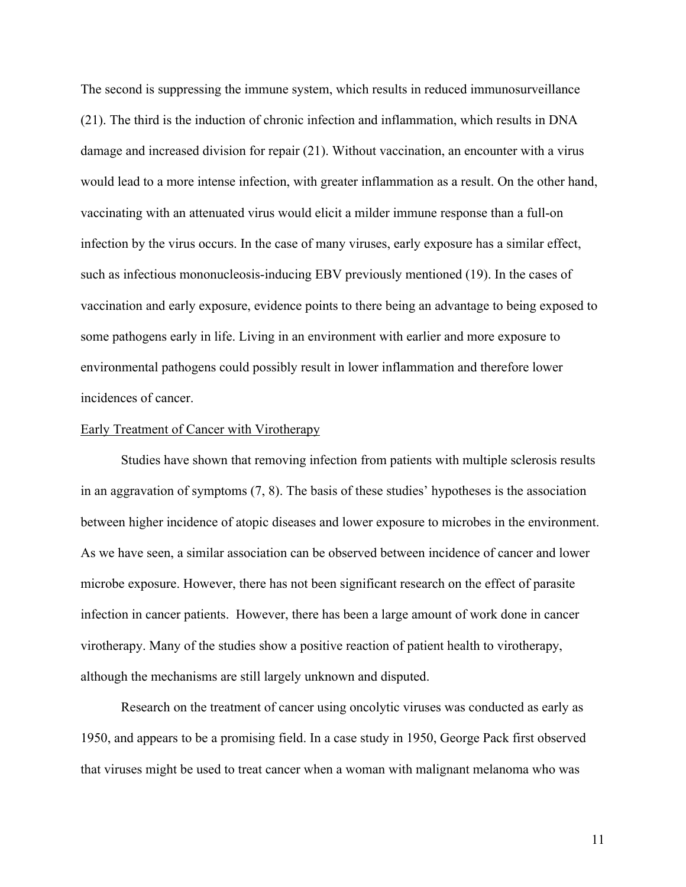The second is suppressing the immune system, which results in reduced immunosurveillance (21). The third is the induction of chronic infection and inflammation, which results in DNA damage and increased division for repair (21). Without vaccination, an encounter with a virus would lead to a more intense infection, with greater inflammation as a result. On the other hand, vaccinating with an attenuated virus would elicit a milder immune response than a full-on infection by the virus occurs. In the case of many viruses, early exposure has a similar effect, such as infectious mononucleosis-inducing EBV previously mentioned (19). In the cases of vaccination and early exposure, evidence points to there being an advantage to being exposed to some pathogens early in life. Living in an environment with earlier and more exposure to environmental pathogens could possibly result in lower inflammation and therefore lower incidences of cancer.

#### Early Treatment of Cancer with Virotherapy

Studies have shown that removing infection from patients with multiple sclerosis results in an aggravation of symptoms (7, 8). The basis of these studies' hypotheses is the association between higher incidence of atopic diseases and lower exposure to microbes in the environment. As we have seen, a similar association can be observed between incidence of cancer and lower microbe exposure. However, there has not been significant research on the effect of parasite infection in cancer patients. However, there has been a large amount of work done in cancer virotherapy. Many of the studies show a positive reaction of patient health to virotherapy, although the mechanisms are still largely unknown and disputed.

Research on the treatment of cancer using oncolytic viruses was conducted as early as 1950, and appears to be a promising field. In a case study in 1950, George Pack first observed that viruses might be used to treat cancer when a woman with malignant melanoma who was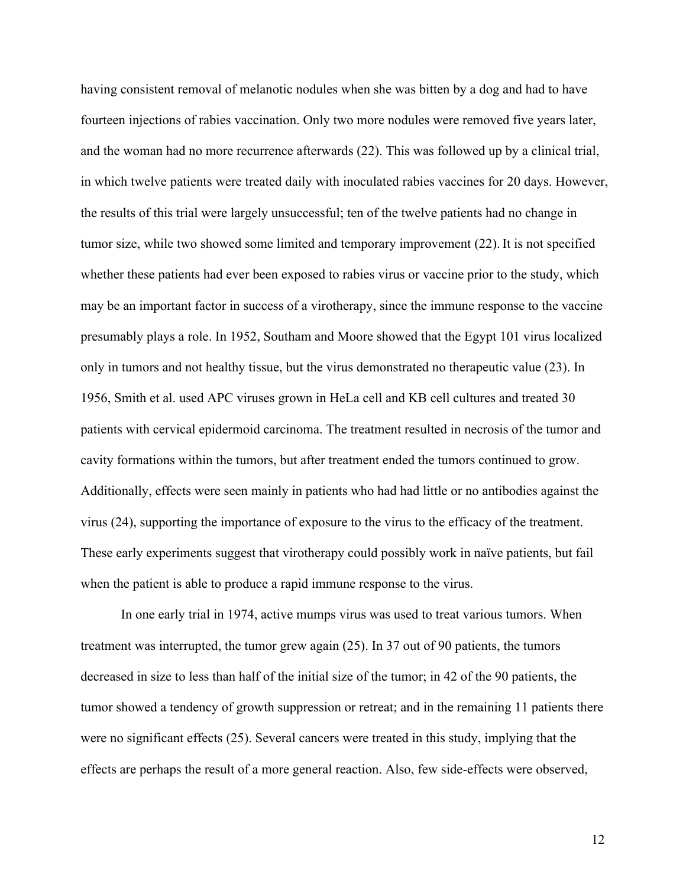having consistent removal of melanotic nodules when she was bitten by a dog and had to have fourteen injections of rabies vaccination. Only two more nodules were removed five years later, and the woman had no more recurrence afterwards (22). This was followed up by a clinical trial, in which twelve patients were treated daily with inoculated rabies vaccines for 20 days. However, the results of this trial were largely unsuccessful; ten of the twelve patients had no change in tumor size, while two showed some limited and temporary improvement (22). It is not specified whether these patients had ever been exposed to rabies virus or vaccine prior to the study, which may be an important factor in success of a virotherapy, since the immune response to the vaccine presumably plays a role. In 1952, Southam and Moore showed that the Egypt 101 virus localized only in tumors and not healthy tissue, but the virus demonstrated no therapeutic value (23). In 1956, Smith et al. used APC viruses grown in HeLa cell and KB cell cultures and treated 30 patients with cervical epidermoid carcinoma. The treatment resulted in necrosis of the tumor and cavity formations within the tumors, but after treatment ended the tumors continued to grow. Additionally, effects were seen mainly in patients who had had little or no antibodies against the virus (24), supporting the importance of exposure to the virus to the efficacy of the treatment. These early experiments suggest that virotherapy could possibly work in naïve patients, but fail when the patient is able to produce a rapid immune response to the virus.

In one early trial in 1974, active mumps virus was used to treat various tumors. When treatment was interrupted, the tumor grew again (25). In 37 out of 90 patients, the tumors decreased in size to less than half of the initial size of the tumor; in 42 of the 90 patients, the tumor showed a tendency of growth suppression or retreat; and in the remaining 11 patients there were no significant effects (25). Several cancers were treated in this study, implying that the effects are perhaps the result of a more general reaction. Also, few side-effects were observed,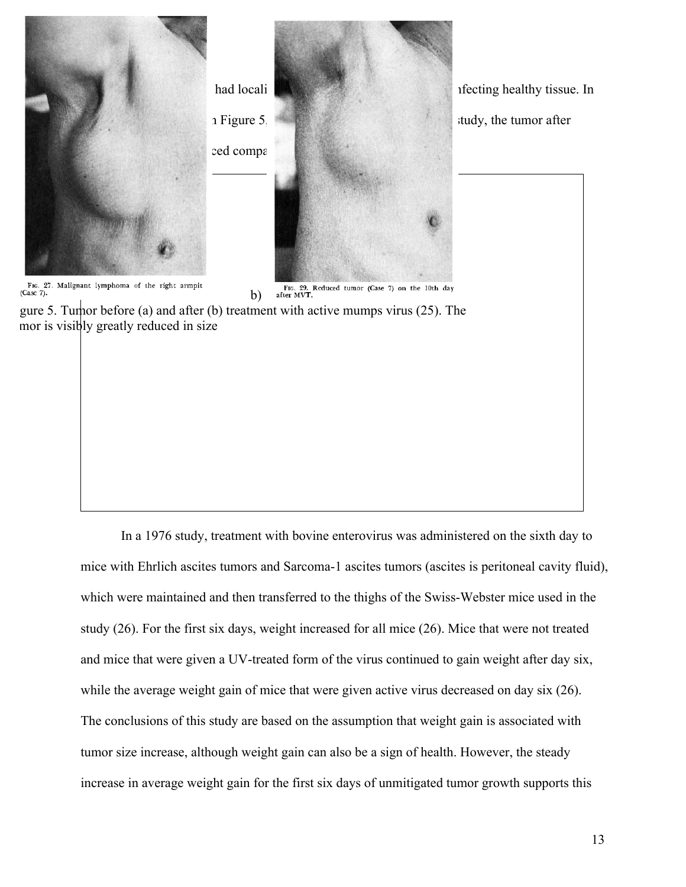

In a 1976 study, treatment with bovine enterovirus was administered on the sixth day to mice with Ehrlich ascites tumors and Sarcoma-1 ascites tumors (ascites is peritoneal cavity fluid), which were maintained and then transferred to the thighs of the Swiss-Webster mice used in the study (26). For the first six days, weight increased for all mice (26). Mice that were not treated and mice that were given a UV-treated form of the virus continued to gain weight after day six, while the average weight gain of mice that were given active virus decreased on day six (26). The conclusions of this study are based on the assumption that weight gain is associated with tumor size increase, although weight gain can also be a sign of health. However, the steady increase in average weight gain for the first six days of unmitigated tumor growth supports this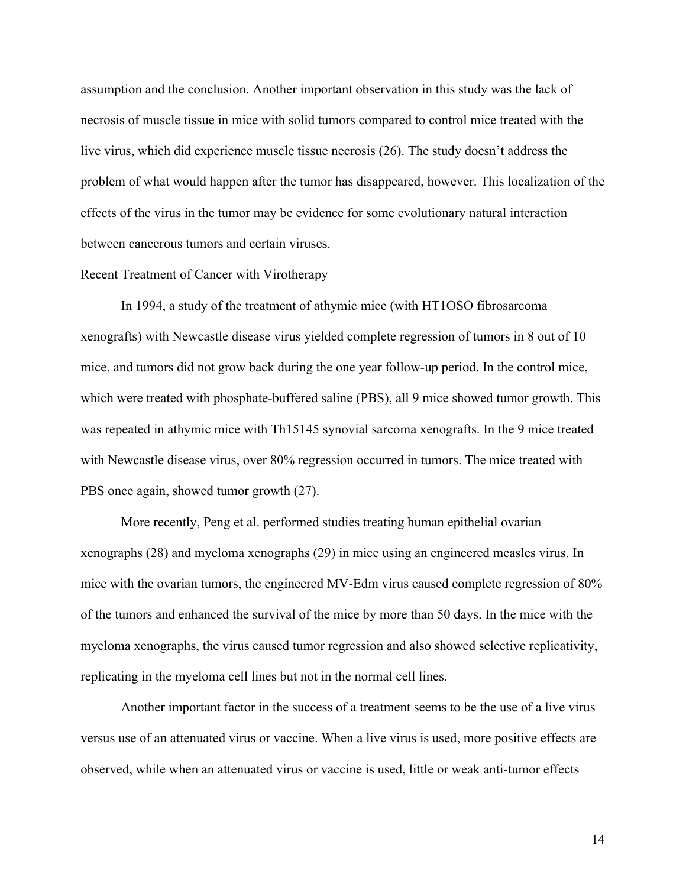assumption and the conclusion. Another important observation in this study was the lack of necrosis of muscle tissue in mice with solid tumors compared to control mice treated with the live virus, which did experience muscle tissue necrosis (26). The study doesn't address the problem of what would happen after the tumor has disappeared, however. This localization of the effects of the virus in the tumor may be evidence for some evolutionary natural interaction between cancerous tumors and certain viruses.

#### Recent Treatment of Cancer with Virotherapy

In 1994, a study of the treatment of athymic mice (with HT1OSO fibrosarcoma xenografts) with Newcastle disease virus yielded complete regression of tumors in 8 out of 10 mice, and tumors did not grow back during the one year follow-up period. In the control mice, which were treated with phosphate-buffered saline (PBS), all 9 mice showed tumor growth. This was repeated in athymic mice with Th15145 synovial sarcoma xenografts. In the 9 mice treated with Newcastle disease virus, over 80% regression occurred in tumors. The mice treated with PBS once again, showed tumor growth (27).

More recently, Peng et al. performed studies treating human epithelial ovarian xenographs (28) and myeloma xenographs (29) in mice using an engineered measles virus. In mice with the ovarian tumors, the engineered MV-Edm virus caused complete regression of 80% of the tumors and enhanced the survival of the mice by more than 50 days. In the mice with the myeloma xenographs, the virus caused tumor regression and also showed selective replicativity, replicating in the myeloma cell lines but not in the normal cell lines.

Another important factor in the success of a treatment seems to be the use of a live virus versus use of an attenuated virus or vaccine. When a live virus is used, more positive effects are observed, while when an attenuated virus or vaccine is used, little or weak anti-tumor effects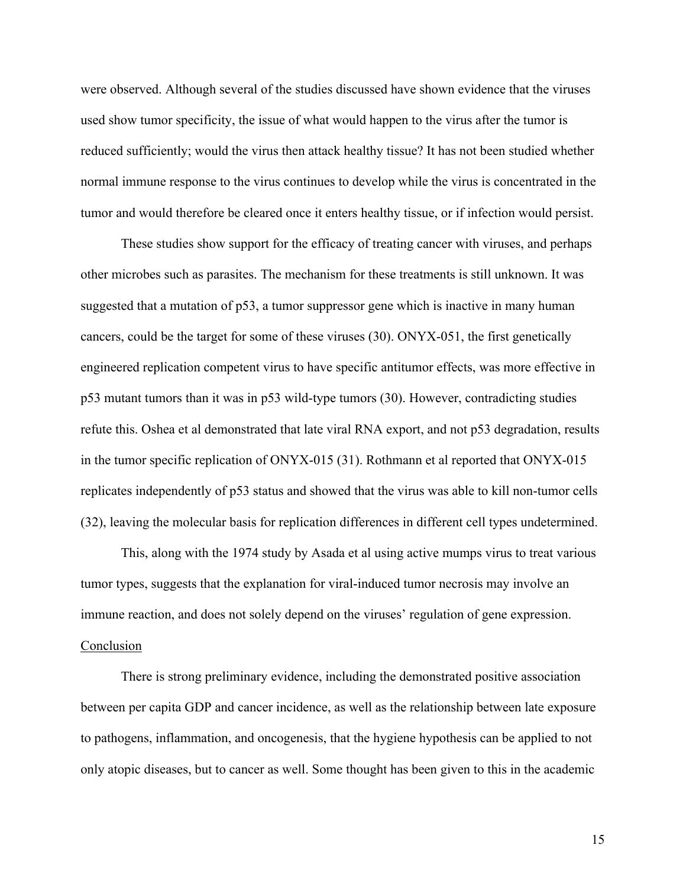were observed. Although several of the studies discussed have shown evidence that the viruses used show tumor specificity, the issue of what would happen to the virus after the tumor is reduced sufficiently; would the virus then attack healthy tissue? It has not been studied whether normal immune response to the virus continues to develop while the virus is concentrated in the tumor and would therefore be cleared once it enters healthy tissue, or if infection would persist.

These studies show support for the efficacy of treating cancer with viruses, and perhaps other microbes such as parasites. The mechanism for these treatments is still unknown. It was suggested that a mutation of p53, a tumor suppressor gene which is inactive in many human cancers, could be the target for some of these viruses (30). ONYX-051, the first genetically engineered replication competent virus to have specific antitumor effects, was more effective in p53 mutant tumors than it was in p53 wild-type tumors (30). However, contradicting studies refute this. Oshea et al demonstrated that late viral RNA export, and not p53 degradation, results in the tumor specific replication of ONYX-015 (31). Rothmann et al reported that ONYX-015 replicates independently of p53 status and showed that the virus was able to kill non-tumor cells (32), leaving the molecular basis for replication differences in different cell types undetermined.

This, along with the 1974 study by Asada et al using active mumps virus to treat various tumor types, suggests that the explanation for viral-induced tumor necrosis may involve an immune reaction, and does not solely depend on the viruses' regulation of gene expression. Conclusion

There is strong preliminary evidence, including the demonstrated positive association between per capita GDP and cancer incidence, as well as the relationship between late exposure to pathogens, inflammation, and oncogenesis, that the hygiene hypothesis can be applied to not only atopic diseases, but to cancer as well. Some thought has been given to this in the academic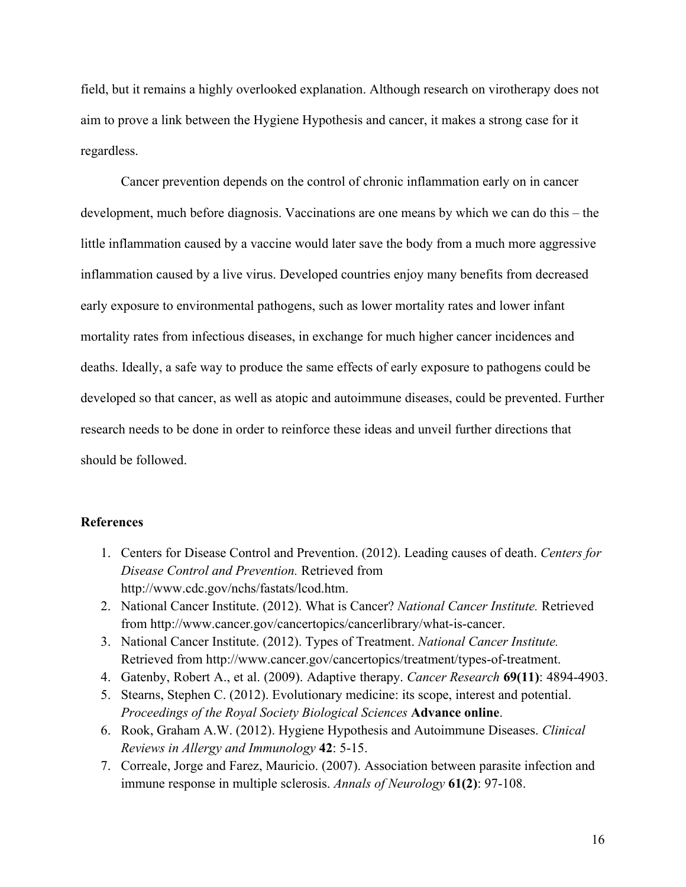field, but it remains a highly overlooked explanation. Although research on virotherapy does not aim to prove a link between the Hygiene Hypothesis and cancer, it makes a strong case for it regardless.

Cancer prevention depends on the control of chronic inflammation early on in cancer development, much before diagnosis. Vaccinations are one means by which we can do this – the little inflammation caused by a vaccine would later save the body from a much more aggressive inflammation caused by a live virus. Developed countries enjoy many benefits from decreased early exposure to environmental pathogens, such as lower mortality rates and lower infant mortality rates from infectious diseases, in exchange for much higher cancer incidences and deaths. Ideally, a safe way to produce the same effects of early exposure to pathogens could be developed so that cancer, as well as atopic and autoimmune diseases, could be prevented. Further research needs to be done in order to reinforce these ideas and unveil further directions that should be followed.

## **References**

- 1. Centers for Disease Control and Prevention. (2012). Leading causes of death. *Centers for Disease Control and Prevention.* Retrieved from http://www.cdc.gov/nchs/fastats/lcod.htm.
- 2. National Cancer Institute. (2012). What is Cancer? *National Cancer Institute.* Retrieved from http://www.cancer.gov/cancertopics/cancerlibrary/what-is-cancer.
- 3. National Cancer Institute. (2012). Types of Treatment. *National Cancer Institute.*  Retrieved from http://www.cancer.gov/cancertopics/treatment/types-of-treatment.
- 4. Gatenby, Robert A., et al. (2009). Adaptive therapy. *Cancer Research* **69(11)**: 4894-4903.
- 5. Stearns, Stephen C. (2012). Evolutionary medicine: its scope, interest and potential. *Proceedings of the Royal Society Biological Sciences* **Advance online**.
- 6. Rook, Graham A.W. (2012). Hygiene Hypothesis and Autoimmune Diseases. *Clinical Reviews in Allergy and Immunology* **42**: 5-15.
- 7. Correale, Jorge and Farez, Mauricio. (2007). Association between parasite infection and immune response in multiple sclerosis. *Annals of Neurology* **61(2)**: 97-108.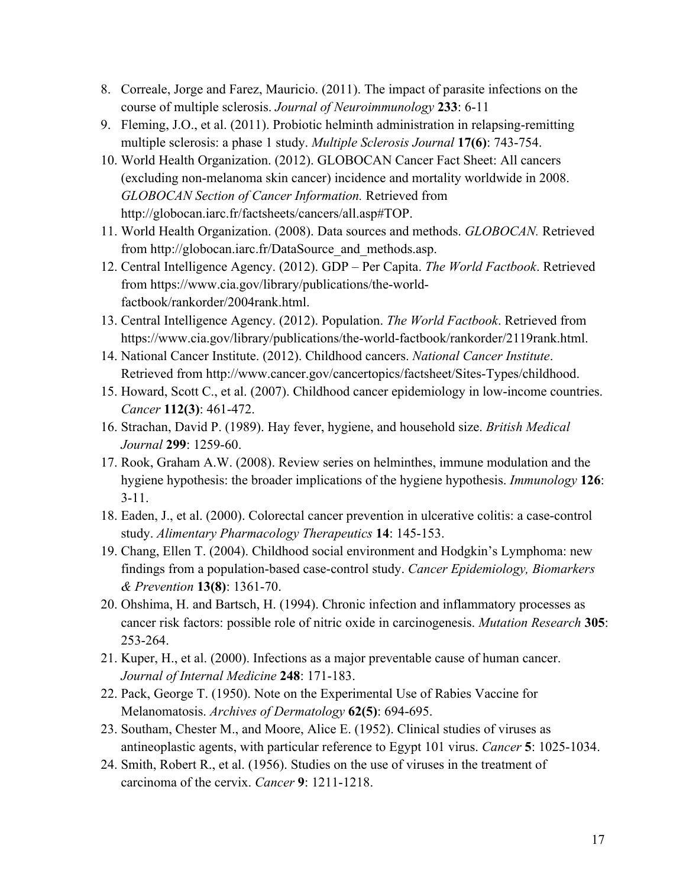- 8. Correale, Jorge and Farez, Mauricio. (2011). The impact of parasite infections on the course of multiple sclerosis. *Journal of Neuroimmunology* **233**: 6-11
- 9. Fleming, J.O., et al. (2011). Probiotic helminth administration in relapsing-remitting multiple sclerosis: a phase 1 study. *Multiple Sclerosis Journal* **17(6)**: 743-754.
- 10. World Health Organization. (2012). GLOBOCAN Cancer Fact Sheet: All cancers (excluding non-melanoma skin cancer) incidence and mortality worldwide in 2008. *GLOBOCAN Section of Cancer Information.* Retrieved from http://globocan.iarc.fr/factsheets/cancers/all.asp#TOP.
- 11. World Health Organization. (2008). Data sources and methods. *GLOBOCAN.* Retrieved from http://globocan.iarc.fr/DataSource\_and\_methods.asp.
- 12. Central Intelligence Agency. (2012). GDP Per Capita. *The World Factbook*. Retrieved from https://www.cia.gov/library/publications/the-worldfactbook/rankorder/2004rank.html.
- 13. Central Intelligence Agency. (2012). Population. *The World Factbook*. Retrieved from https://www.cia.gov/library/publications/the-world-factbook/rankorder/2119rank.html.
- 14. National Cancer Institute. (2012). Childhood cancers. *National Cancer Institute*. Retrieved from http://www.cancer.gov/cancertopics/factsheet/Sites-Types/childhood.
- 15. Howard, Scott C., et al. (2007). Childhood cancer epidemiology in low-income countries. *Cancer* **112(3)**: 461-472.
- 16. Strachan, David P. (1989). Hay fever, hygiene, and household size. *British Medical Journal* **299**: 1259-60.
- 17. Rook, Graham A.W. (2008). Review series on helminthes, immune modulation and the hygiene hypothesis: the broader implications of the hygiene hypothesis. *Immunology* **126**: 3-11.
- 18. Eaden, J., et al. (2000). Colorectal cancer prevention in ulcerative colitis: a case-control study. *Alimentary Pharmacology Therapeutics* **14**: 145-153.
- 19. Chang, Ellen T. (2004). Childhood social environment and Hodgkin's Lymphoma: new findings from a population-based case-control study. *Cancer Epidemiology, Biomarkers & Prevention* **13(8)**: 1361-70.
- 20. Ohshima, H. and Bartsch, H. (1994). Chronic infection and inflammatory processes as cancer risk factors: possible role of nitric oxide in carcinogenesis. *Mutation Research* **305**: 253-264.
- 21. Kuper, H., et al. (2000). Infections as a major preventable cause of human cancer. *Journal of Internal Medicine* **248**: 171-183.
- 22. Pack, George T. (1950). Note on the Experimental Use of Rabies Vaccine for Melanomatosis. *Archives of Dermatology* **62(5)**: 694-695.
- 23. Southam, Chester M., and Moore, Alice E. (1952). Clinical studies of viruses as antineoplastic agents, with particular reference to Egypt 101 virus. *Cancer* **5**: 1025-1034.
- 24. Smith, Robert R., et al. (1956). Studies on the use of viruses in the treatment of carcinoma of the cervix. *Cancer* **9**: 1211-1218.